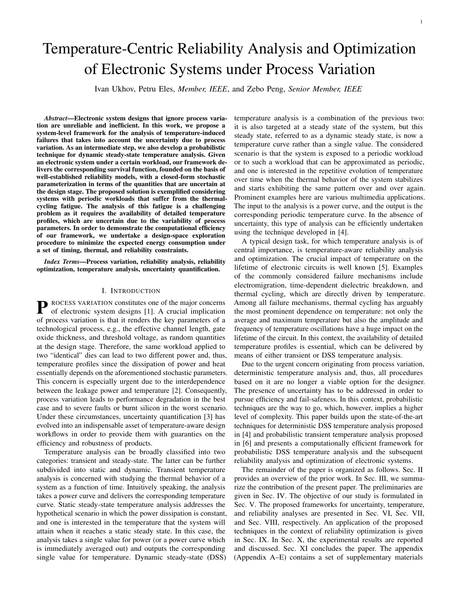# Temperature-Centric Reliability Analysis and Optimization of Electronic Systems under Process Variation

Ivan Ukhov, Petru Eles, *Member, IEEE*, and Zebo Peng, *Senior Member, IEEE*

*Abstract*—Electronic system designs that ignore process variation are unreliable and inefficient. In this work, we propose a system-level framework for the analysis of temperature-induced failures that takes into account the uncertainty due to process variation. As an intermediate step, we also develop a probabilistic technique for dynamic steady-state temperature analysis. Given an electronic system under a certain workload, our framework delivers the corresponding survival function, founded on the basis of well-established reliability models, with a closed-form stochastic parameterization in terms of the quantities that are uncertain at the design stage. The proposed solution is exemplified considering systems with periodic workloads that suffer from the thermalcycling fatigue. The analysis of this fatigue is a challenging problem as it requires the availability of detailed temperature profiles, which are uncertain due to the variability of process parameters. In order to demonstrate the computational efficiency of our framework, we undertake a design-space exploration procedure to minimize the expected energy consumption under a set of timing, thermal, and reliability constraints.

*Index Terms*—Process variation, reliability analysis, reliability optimization, temperature analysis, uncertainty quantification.

#### I. INTRODUCTION

**P** ROCESS VARIATION constitutes one of the major concerns of electronic system designs [1]. A crucial implication of electronic system designs [1]. A crucial implication of process variation is that it renders the key parameters of a technological process, e.g., the effective channel length, gate oxide thickness, and threshold voltage, as random quantities at the design stage. Therefore, the same workload applied to two "identical" dies can lead to two different power and, thus, temperature profiles since the dissipation of power and heat essentially depends on the aforementioned stochastic parameters. This concern is especially urgent due to the interdependence between the leakage power and temperature [2]. Consequently, process variation leads to performance degradation in the best case and to severe faults or burnt silicon in the worst scenario. Under these circumstances, uncertainty quantification [3] has evolved into an indispensable asset of temperature-aware design workflows in order to provide them with guaranties on the efficiency and robustness of products.

Temperature analysis can be broadly classified into two categories: transient and steady-state. The latter can be further subdivided into static and dynamic. Transient temperature analysis is concerned with studying the thermal behavior of a system as a function of time. Intuitively speaking, the analysis takes a power curve and delivers the corresponding temperature curve. Static steady-state temperature analysis addresses the hypothetical scenario in which the power dissipation is constant, and one is interested in the temperature that the system will attain when it reaches a static steady state. In this case, the analysis takes a single value for power (or a power curve which is immediately averaged out) and outputs the corresponding single value for temperature. Dynamic steady-state (DSS) temperature analysis is a combination of the previous two: it is also targeted at a steady state of the system, but this steady state, referred to as a dynamic steady state, is now a temperature curve rather than a single value. The considered scenario is that the system is exposed to a periodic workload or to such a workload that can be approximated as periodic, and one is interested in the repetitive evolution of temperature over time when the thermal behavior of the system stabilizes and starts exhibiting the same pattern over and over again. Prominent examples here are various multimedia applications. The input to the analysis is a power curve, and the output is the corresponding periodic temperature curve. In the absence of uncertainty, this type of analysis can be efficiently undertaken using the technique developed in [4].

A typical design task, for which temperature analysis is of central importance, is temperature-aware reliability analysis and optimization. The crucial impact of temperature on the lifetime of electronic circuits is well known [5]. Examples of the commonly considered failure mechanisms include electromigration, time-dependent dielectric breakdown, and thermal cycling, which are directly driven by temperature. Among all failure mechanisms, thermal cycling has arguably the most prominent dependence on temperature: not only the average and maximum temperature but also the amplitude and frequency of temperature oscillations have a huge impact on the lifetime of the circuit. In this context, the availability of detailed temperature profiles is essential, which can be delivered by means of either transient or DSS temperature analysis.

Due to the urgent concern originating from process variation, deterministic temperature analysis and, thus, all procedures based on it are no longer a viable option for the designer. The presence of uncertainty has to be addressed in order to pursue efficiency and fail-safeness. In this context, probabilistic techniques are the way to go, which, however, implies a higher level of complexity. This paper builds upon the state-of-the-art techniques for deterministic DSS temperature analysis proposed in [4] and probabilistic transient temperature analysis proposed in [6] and presents a computationally efficient framework for probabilistic DSS temperature analysis and the subsequent reliability analysis and optimization of electronic systems.

The remainder of the paper is organized as follows. Sec. II provides an overview of the prior work. In Sec. III, we summarize the contribution of the present paper. The preliminaries are given in Sec. IV. The objective of our study is formulated in Sec. V. The proposed frameworks for uncertainty, temperature, and reliability analyses are presented in Sec. VI, Sec. VII, and Sec. VIII, respectively. An application of the proposed techniques in the context of reliability optimization is given in Sec. IX. In Sec. X, the experimental results are reported and discussed. Sec. XI concludes the paper. The appendix (Appendix A–E) contains a set of supplementary materials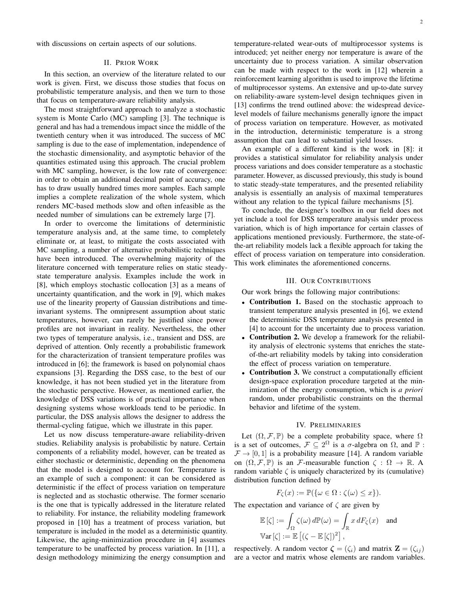with discussions on certain aspects of our solutions.

## II. PRIOR WORK

In this section, an overview of the literature related to our work is given. First, we discuss those studies that focus on probabilistic temperature analysis, and then we turn to those that focus on temperature-aware reliability analysis.

The most straightforward approach to analyze a stochastic system is Monte Carlo (MC) sampling [3]. The technique is general and has had a tremendous impact since the middle of the twentieth century when it was introduced. The success of MC sampling is due to the ease of implementation, independence of the stochastic dimensionality, and asymptotic behavior of the quantities estimated using this approach. The crucial problem with MC sampling, however, is the low rate of convergence: in order to obtain an additional decimal point of accuracy, one has to draw usually hundred times more samples. Each sample implies a complete realization of the whole system, which renders MC-based methods slow and often infeasible as the needed number of simulations can be extremely large [7].

In order to overcome the limitations of deterministic temperature analysis and, at the same time, to completely eliminate or, at least, to mitigate the costs associated with MC sampling, a number of alternative probabilistic techniques have been introduced. The overwhelming majority of the literature concerned with temperature relies on static steadystate temperature analysis. Examples include the work in [8], which employs stochastic collocation [3] as a means of uncertainty quantification, and the work in [9], which makes use of the linearity property of Gaussian distributions and timeinvariant systems. The omnipresent assumption about static temperatures, however, can rarely be justified since power profiles are not invariant in reality. Nevertheless, the other two types of temperature analysis, i.e., transient and DSS, are deprived of attention. Only recently a probabilistic framework for the characterization of transient temperature profiles was introduced in [6]; the framework is based on polynomial chaos expansions [3]. Regarding the DSS case, to the best of our knowledge, it has not been studied yet in the literature from the stochastic perspective. However, as mentioned earlier, the knowledge of DSS variations is of practical importance when designing systems whose workloads tend to be periodic. In particular, the DSS analysis allows the designer to address the thermal-cycling fatigue, which we illustrate in this paper.

Let us now discuss temperature-aware reliability-driven studies. Reliability analysis is probabilistic by nature. Certain components of a reliability model, however, can be treated as either stochastic or deterministic, depending on the phenomena that the model is designed to account for. Temperature is an example of such a component: it can be considered as deterministic if the effect of process variation on temperature is neglected and as stochastic otherwise. The former scenario is the one that is typically addressed in the literature related to reliability. For instance, the reliability modeling framework proposed in [10] has a treatment of process variation, but temperature is included in the model as a deterministic quantity. Likewise, the aging-minimization procedure in [4] assumes temperature to be unaffected by process variation. In [11], a design methodology minimizing the energy consumption and

temperature-related wear-outs of multiprocessor systems is introduced; yet neither energy nor temperature is aware of the uncertainty due to process variation. A similar observation can be made with respect to the work in [12] wherein a reinforcement learning algorithm is used to improve the lifetime of multiprocessor systems. An extensive and up-to-date survey on reliability-aware system-level design techniques given in [13] confirms the trend outlined above: the widespread devicelevel models of failure mechanisms generally ignore the impact of process variation on temperature. However, as motivated in the introduction, deterministic temperature is a strong assumption that can lead to substantial yield losses.

An example of a different kind is the work in [8]: it provides a statistical simulator for reliability analysis under process variations and does consider temperature as a stochastic parameter. However, as discussed previously, this study is bound to static steady-state temperatures, and the presented reliability analysis is essentially an analysis of maximal temperatures without any relation to the typical failure mechanisms [5].

To conclude, the designer's toolbox in our field does not yet include a tool for DSS temperature analysis under process variation, which is of high importance for certain classes of applications mentioned previously. Furthermore, the state-ofthe-art reliability models lack a flexible approach for taking the effect of process variation on temperature into consideration. This work eliminates the aforementioned concerns.

# III. OUR CONTRIBUTIONS

Our work brings the following major contributions:

- Contribution 1. Based on the stochastic approach to transient temperature analysis presented in [6], we extend the deterministic DSS temperature analysis presented in [4] to account for the uncertainty due to process variation.
- Contribution 2. We develop a framework for the reliability analysis of electronic systems that enriches the stateof-the-art reliability models by taking into consideration the effect of process variation on temperature.
- Contribution 3. We construct a computationally efficient design-space exploration procedure targeted at the minimization of the energy consumption, which is *a priori* random, under probabilistic constraints on the thermal behavior and lifetime of the system.

## IV. PRELIMINARIES

Let  $(\Omega, \mathcal{F}, \mathbb{P})$  be a complete probability space, where  $\Omega$ is a set of outcomes,  $\mathcal{F} \subseteq 2^{\Omega}$  is a  $\sigma$ -algebra on  $\Omega$ , and  $\mathbb{P}$ :  $\mathcal{F} \rightarrow [0, 1]$  is a probability measure [14]. A random variable on  $(\Omega, \mathcal{F}, \mathbb{P})$  is an F-measurable function  $\zeta : \Omega \to \mathbb{R}$ . A random variable  $\zeta$  is uniquely characterized by its (cumulative) distribution function defined by

$$
F_{\zeta}(x) := \mathbb{P}(\{\omega \in \Omega : \zeta(\omega) \le x\}).
$$

The expectation and variance of  $\zeta$  are given by

$$
\mathbb{E}[\zeta] := \int_{\Omega} \zeta(\omega) \, d\mathbb{P}(\omega) = \int_{\mathbb{R}} x \, dF_{\zeta}(x) \quad \text{and}
$$
  
 
$$
\mathbb{V}\text{ar}[\zeta] := \mathbb{E}\left[ (\zeta - \mathbb{E}[\zeta])^2 \right],
$$

respectively. A random vector  $\boldsymbol{\zeta} = (\zeta_i)$  and matrix  $\mathbf{Z} = (\zeta_{ij})$ are a vector and matrix whose elements are random variables.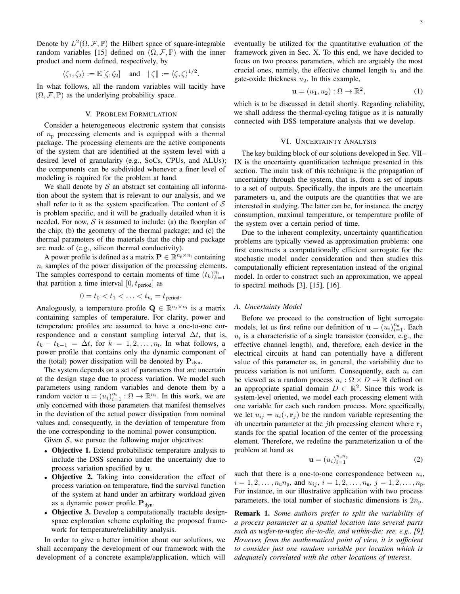Denote by  $L^2(\Omega, \mathcal{F}, \mathbb{P})$  the Hilbert space of square-integrable random variables [15] defined on  $(\Omega, \mathcal{F}, \mathbb{P})$  with the inner product and norm defined, respectively, by

$$
\langle \zeta_1, \zeta_2 \rangle := \mathbb{E} [\zeta_1 \zeta_2]
$$
 and  $\|\zeta\| := \langle \zeta, \zeta \rangle^{1/2}$ .

In what follows, all the random variables will tacitly have  $(\Omega, \mathcal{F}, \mathbb{P})$  as the underlying probability space.

#### V. PROBLEM FORMULATION

Consider a heterogeneous electronic system that consists of  $n_p$  processing elements and is equipped with a thermal package. The processing elements are the active components of the system that are identified at the system level with a desired level of granularity (e.g., SoCs, CPUs, and ALUs); the components can be subdivided whenever a finer level of modeling is required for the problem at hand.

We shall denote by  $S$  an abstract set containing all information about the system that is relevant to our analysis, and we shall refer to it as the system specification. The content of  $S$ is problem specific, and it will be gradually detailed when it is needed. For now,  $S$  is assumed to include: (a) the floorplan of the chip; (b) the geometry of the thermal package; and (c) the thermal parameters of the materials that the chip and package are made of (e.g., silicon thermal conductivity).

A power profile is defined as a matrix  $\mathbf{P} \in \mathbb{R}^{n_p \times n_t}$  containing  $n_t$  samples of the power dissipation of the processing elements. The samples correspond to certain moments of time  $(t_k)_{k=1}^{n_t}$ that partition a time interval  $[0, t_{period}]$  as

$$
0=t_0
$$

Analogously, a temperature profile  $\mathbf{Q} \in \mathbb{R}^{n_p \times n_t}$  is a matrix containing samples of temperature. For clarity, power and temperature profiles are assumed to have a one-to-one correspondence and a constant sampling interval  $\Delta t$ , that is,  $t_k - t_{k-1} = \Delta t$ , for  $k = 1, 2, \ldots, n_t$ . In what follows, a power profile that contains only the dynamic component of the (total) power dissipation will be denoted by  $\mathbf{P}_{\text{dyn}}$ .

The system depends on a set of parameters that are uncertain at the design stage due to process variation. We model such parameters using random variables and denote them by a random vector  $\mathbf{u} = (u_i)_{i=1}^{n_u} : \Omega \to \mathbb{R}^{n_u}$ . In this work, we are only concerned with those parameters that manifest themselves in the deviation of the actual power dissipation from nominal values and, consequently, in the deviation of temperature from the one corresponding to the nominal power consumption.

Given  $S$ , we pursue the following major objectives:

- Objective 1. Extend probabilistic temperature analysis to include the DSS scenario under the uncertainty due to process variation specified by u.
- Objective 2. Taking into consideration the effect of process variation on temperature, find the survival function of the system at hand under an arbitrary workload given as a dynamic power profile  $P_{dyn}$ .
- Objective 3. Develop a computationally tractable designspace exploration scheme exploiting the proposed framework for temperature/reliability analysis.

In order to give a better intuition about our solutions, we shall accompany the development of our framework with the development of a concrete example/application, which will eventually be utilized for the quantitative evaluation of the framework given in Sec. X. To this end, we have decided to focus on two process parameters, which are arguably the most crucial ones, namely, the effective channel length  $u_1$  and the gate-oxide thickness  $u_2$ . In this example,

$$
\mathbf{u} = (u_1, u_2) : \Omega \to \mathbb{R}^2,
$$
 (1)

which is to be discussed in detail shortly. Regarding reliability, we shall address the thermal-cycling fatigue as it is naturally connected with DSS temperature analysis that we develop.

#### VI. UNCERTAINTY ANALYSIS

The key building block of our solutions developed in Sec. VII– IX is the uncertainty quantification technique presented in this section. The main task of this technique is the propagation of uncertainty through the system, that is, from a set of inputs to a set of outputs. Specifically, the inputs are the uncertain parameters u, and the outputs are the quantities that we are interested in studying. The latter can be, for instance, the energy consumption, maximal temperature, or temperature profile of the system over a certain period of time.

Due to the inherent complexity, uncertainty quantification problems are typically viewed as approximation problems: one first constructs a computationally efficient surrogate for the stochastic model under consideration and then studies this computationally efficient representation instead of the original model. In order to construct such an approximation, we appeal to spectral methods [3], [15], [16].

#### *A. Uncertainty Model*

Before we proceed to the construction of light surrogate models, let us first refine our definition of  $\mathbf{u} = (u_i)_{i=1}^{n_u}$ . Each  $u_i$  is a characteristic of a single transistor (consider, e.g., the effective channel length), and, therefore, each device in the electrical circuits at hand can potentially have a different value of this parameter as, in general, the variability due to process variation is not uniform. Consequently, each  $u_i$  can be viewed as a random process  $u_i : \Omega \times D \to \mathbb{R}$  defined on an appropriate spatial domain  $D \subset \mathbb{R}^2$ . Since this work is system-level oriented, we model each processing element with one variable for each such random process. More specifically, we let  $u_{ij} = u_i(\cdot, \mathbf{r}_i)$  be the random variable representing the ith uncertain parameter at the jth processing element where  $r_i$ stands for the spatial location of the center of the processing element. Therefore, we redefine the parameterization u of the problem at hand as

$$
\mathbf{u} = (u_i)_{i=1}^{n_u n_p} \tag{2}
$$

such that there is a one-to-one correspondence between  $u_i$ ,  $i = 1, 2, \dots, n_{\text{u}} n_{\text{p}}$ , and  $u_{ij}, i = 1, 2, \dots, n_{\text{u}}, j = 1, 2, \dots, n_{\text{p}}$ . For instance, in our illustrative application with two process parameters, the total number of stochastic dimensions is  $2n_p$ .

Remark 1. *Some authors prefer to split the variability of a process parameter at a spatial location into several parts such as wafer-to-wafer, die-to-die, and within-die; see, e.g., [9]. However, from the mathematical point of view, it is sufficient to consider just one random variable per location which is adequately correlated with the other locations of interest.*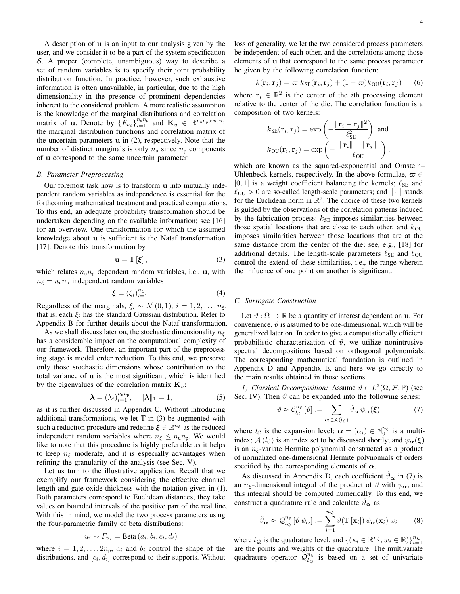A description of u is an input to our analysis given by the user, and we consider it to be a part of the system specification S. A proper (complete, unambiguous) way to describe a set of random variables is to specify their joint probability distribution function. In practice, however, such exhaustive information is often unavailable, in particular, due to the high dimensionality in the presence of prominent dependencies inherent to the considered problem. A more realistic assumption is the knowledge of the marginal distributions and correlation matrix of u. Denote by  $\{F_{u_i}\}_{i=1}^{n_u n_p}$  and  $\mathbf{K}_u \in \mathbb{R}^{n_u n_p \times n_u n_p}$ the marginal distribution functions and correlation matrix of the uncertain parameters u in (2), respectively. Note that the number of distinct marginals is only  $n_{\rm u}$  since  $n_{\rm p}$  components of u correspond to the same uncertain parameter.

## *B. Parameter Preprocessing*

Our foremost task now is to transform u into mutually independent random variables as independence is essential for the forthcoming mathematical treatment and practical computations. To this end, an adequate probability transformation should be undertaken depending on the available information; see [16] for an overview. One transformation for which the assumed knowledge about u is sufficient is the Nataf transformation [17]. Denote this transformation by

$$
\mathbf{u} = \mathbb{T} \left[ \boldsymbol{\xi} \right],\tag{3}
$$

which relates  $n_{\rm u}n_{\rm p}$  dependent random variables, i.e., u, with  $n_{\xi} = n_{\rm u} n_{\rm p}$  independent random variables

$$
\boldsymbol{\xi} = (\xi_i)_{i=1}^{n_{\xi}}.
$$
\n(4)

Regardless of the marginals,  $\xi_i \sim \mathcal{N}(0, 1), i = 1, 2, \ldots, n_{\xi}$ , that is, each  $\xi_i$  has the standard Gaussian distribution. Refer to Appendix B for further details about the Nataf transformation.

As we shall discuss later on, the stochastic dimensionality  $n_{\epsilon}$ has a considerable impact on the computational complexity of our framework. Therefore, an important part of the preprocessing stage is model order reduction. To this end, we preserve only those stochastic dimensions whose contribution to the total variance of u is the most significant, which is identified by the eigenvalues of the correlation matrix  $\mathbf{K}_u$ :

$$
\boldsymbol{\lambda} = (\lambda_i)_{i=1}^{n_u n_p}, \quad \|\boldsymbol{\lambda}\|_1 = 1,\tag{5}
$$

as it is further discussed in Appendix C. Without introducing additional transformations, we let  $T$  in (3) be augmented with such a reduction procedure and redefine  $\xi \in \mathbb{R}^{n_{\xi}}$  as the reduced independent random variables where  $n_{\xi} \leq n_{\mu} n_{\text{p}}$ . We would like to note that this procedure is highly preferable as it helps to keep  $n_{\xi}$  moderate, and it is especially advantages when refining the granularity of the analysis (see Sec. V).

Let us turn to the illustrative application. Recall that we exemplify our framework considering the effective channel length and gate-oxide thickness with the notation given in (1). Both parameters correspond to Euclidean distances; they take values on bounded intervals of the positive part of the real line. With this in mind, we model the two process parameters using the four-parametric family of beta distributions:

$$
u_i \sim F_{u_i} = \text{Beta}(a_i, b_i, c_i, d_i)
$$

where  $i = 1, 2, \ldots, 2n_p$ ,  $a_i$  and  $b_i$  control the shape of the distributions, and  $[c_i, d_i]$  correspond to their supports. Without loss of generality, we let the two considered process parameters be independent of each other, and the correlations among those elements of u that correspond to the same process parameter be given by the following correlation function:

$$
k(\mathbf{r}_i, \mathbf{r}_j) = \varpi \, k_{\text{SE}}(\mathbf{r}_i, \mathbf{r}_j) + (1 - \varpi) k_{\text{OU}}(\mathbf{r}_i, \mathbf{r}_j) \tag{6}
$$

where  $r_i \in \mathbb{R}^2$  is the center of the *i*th processing element relative to the center of the die. The correlation function is a composition of two kernels:

$$
k_{\text{SE}}(\mathbf{r}_i, \mathbf{r}_j) = \exp\left(-\frac{\|\mathbf{r}_i - \mathbf{r}_j\|^2}{\ell_{\text{SE}}^2}\right) \text{ and}
$$

$$
k_{\text{OU}}(\mathbf{r}_i, \mathbf{r}_j) = \exp\left(-\frac{|\|\mathbf{r}_i\| - \|\mathbf{r}_j\||}{\ell_{\text{OU}}}\right),
$$

which are known as the squared-exponential and Ornstein– Uhlenbeck kernels, respectively. In the above formulae,  $\varpi \in$  $[0, 1]$  is a weight coefficient balancing the kernels;  $\ell_{\text{SE}}$  and  $\ell_{\text{OU}} > 0$  are so-called length-scale parameters; and  $\|\cdot\|$  stands for the Euclidean norm in  $\mathbb{R}^2$ . The choice of these two kernels is guided by the observations of the correlation patterns induced by the fabrication process:  $k_{SE}$  imposes similarities between those spatial locations that are close to each other, and  $k_{\text{OU}}$ imposes similarities between those locations that are at the same distance from the center of the die; see, e.g., [18] for additional details. The length-scale parameters  $\ell_{\text{SE}}$  and  $\ell_{\text{OU}}$ control the extend of these similarities, i.e., the range wherein the influence of one point on another is significant.

# *C. Surrogate Construction*

Let  $\vartheta : \Omega \to \mathbb{R}$  be a quantity of interest dependent on **u**. For convenience,  $\vartheta$  is assumed to be one-dimensional, which will be generalized later on. In order to give a computationally efficient probabilistic characterization of  $\vartheta$ , we utilize nonintrusive spectral decompositions based on orthogonal polynomials. The corresponding mathematical foundation is outlined in Appendix D and Appendix E, and here we go directly to the main results obtained in those sections.

*1)* Classical Decomposition: Assume  $\vartheta \in L^2(\Omega, \mathcal{F}, \mathbb{P})$  (see Sec. IV). Then  $\vartheta$  can be expanded into the following series:

$$
\vartheta \approx \mathcal{C}_{l_c}^{n_{\xi}} [\vartheta] := \sum_{\alpha \in \mathcal{A}(l_c)} \hat{\vartheta}_{\alpha} \psi_{\alpha}(\xi) \tag{7}
$$

where  $l_{\mathcal{C}}$  is the expansion level;  $\boldsymbol{\alpha} = (\alpha_i) \in \mathbb{N}_0^{n_{\xi}}$  is a multiindex; A (l<sub>C</sub>) is an index set to be discussed shortly; and  $\psi_{\alpha}(\xi)$ is an  $n_{\xi}$ -variate Hermite polynomial constructed as a product of normalized one-dimensional Hermite polynomials of orders specified by the corresponding elements of  $\alpha$ .

As discussed in Appendix D, each coefficient  $\vartheta_{\alpha}$  in (7) is an  $n_{\xi}$ -dimensional integral of the product of  $\vartheta$  with  $\psi_{\alpha}$ , and this integral should be computed numerically. To this end, we construct a quadrature rule and calculate  $\vartheta_{\alpha}$  as

$$
\hat{\vartheta}_{\alpha} \approx \mathcal{Q}_{l_{\mathcal{Q}}}^{n_{\xi}} [\vartheta \psi_{\alpha}] := \sum_{i=1}^{n_{\mathcal{Q}}} \vartheta (\mathbb{T}[\mathbf{x}_{i}]) \psi_{\alpha}(\mathbf{x}_{i}) w_{i} \qquad (8)
$$

where  $l_{\mathcal{Q}}$  is the quadrature level, and  $\{(\mathbf{x}_i \in \mathbb{R}^{n_{\xi}}, w_i \in \mathbb{R})\}_{i=1}^{n_{\mathcal{Q}}}$ are the points and weights of the quadrature. The multivariate quadrature operator  $\mathcal{Q}_{l}^{n_{\xi}}$  $\frac{n_{\xi}}{l_{Q}}$  is based on a set of univariate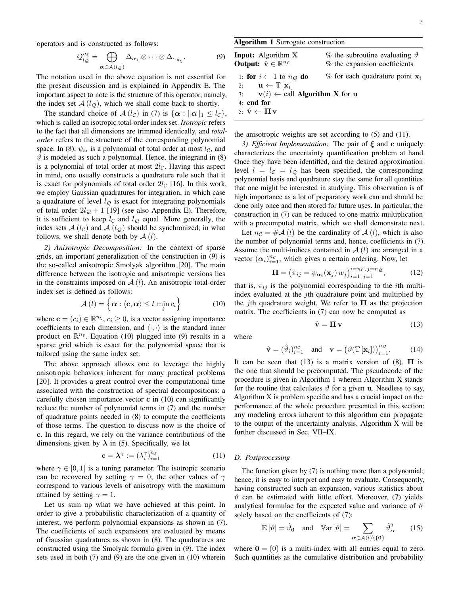operators and is constructed as follows:

$$
\mathcal{Q}_{l_{\mathcal{Q}}}^{n_{\xi}} = \bigoplus_{\alpha \in \mathcal{A}(l_{\mathcal{Q}})} \Delta_{\alpha_1} \otimes \cdots \otimes \Delta_{\alpha_{n_{\xi}}}.
$$
 (9)

The notation used in the above equation is not essential for the present discussion and is explained in Appendix E. The important aspect to note is the structure of this operator, namely, the index set  $A(l_{\mathcal{Q}})$ , which we shall come back to shortly.

The standard choice of  $\mathcal{A}(l_{\mathcal{C}})$  in (7) is  $\{\boldsymbol{\alpha} : ||\boldsymbol{\alpha}||_1 \leq l_{\mathcal{C}}\},\$ which is called an isotropic total-order index set. *Isotropic* refers to the fact that all dimensions are trimmed identically, and *totalorder* refers to the structure of the corresponding polynomial space. In (8),  $\psi_{\alpha}$  is a polynomial of total order at most  $l_{\mathcal{C}}$ , and  $\vartheta$  is modeled as such a polynomial. Hence, the integrand in (8) is a polynomial of total order at most  $2l_{\mathcal{C}}$ . Having this aspect in mind, one usually constructs a quadrature rule such that it is exact for polynomials of total order  $2l_c$  [16]. In this work, we employ Gaussian quadratures for integration, in which case a quadrature of level  $l_{\mathcal{Q}}$  is exact for integrating polynomials of total order  $2l_{\mathcal{Q}} + 1$  [19] (see also Appendix E). Therefore, it is sufficient to keep  $l_c$  and  $l_c$  equal. More generally, the index sets  $A(l<sub>C</sub>)$  and  $A(l<sub>Q</sub>)$  should be synchronized; in what follows, we shall denote both by  $A(l)$ .

*2) Anisotropic Decomposition:* In the context of sparse grids, an important generalization of the construction in (9) is the so-called anisotropic Smolyak algorithm [20]. The main difference between the isotropic and anisotropic versions lies in the constraints imposed on  $\mathcal{A}(l)$ . An anisotropic total-order index set is defined as follows:

$$
\mathcal{A}\left(l\right) = \left\{\boldsymbol{\alpha} : \left\langle \mathbf{c}, \boldsymbol{\alpha} \right\rangle \leq l \min_{i} c_{i} \right\} \tag{10}
$$

where  $\mathbf{c} = (c_i) \in \mathbb{R}^{n_{\xi}}, c_i \geq 0$ , is a vector assigning importance coefficients to each dimension, and  $\langle \cdot, \cdot \rangle$  is the standard inner product on  $\mathbb{R}^{n_{\xi}}$ . Equation (10) plugged into (9) results in a sparse grid which is exact for the polynomial space that is tailored using the same index set.

The above approach allows one to leverage the highly anisotropic behaviors inherent for many practical problems [20]. It provides a great control over the computational time associated with the construction of spectral decompositions: a carefully chosen importance vector  $\bf{c}$  in (10) can significantly reduce the number of polynomial terms in (7) and the number of quadrature points needed in (8) to compute the coefficients of those terms. The question to discuss now is the choice of c. In this regard, we rely on the variance contributions of the dimensions given by  $\lambda$  in (5). Specifically, we let

$$
\mathbf{c} = \boldsymbol{\lambda}^{\gamma} := (\lambda_i^{\gamma})_{i=1}^{n_{\xi}}
$$
 (11)

where  $\gamma \in [0, 1]$  is a tuning parameter. The isotropic scenario can be recovered by setting  $\gamma = 0$ ; the other values of  $\gamma$ correspond to various levels of anisotropy with the maximum attained by setting  $\gamma = 1$ .

Let us sum up what we have achieved at this point. In order to give a probabilistic characterization of a quantity of interest, we perform polynomial expansions as shown in (7). The coefficients of such expansions are evaluated by means of Gaussian quadratures as shown in (8). The quadratures are constructed using the Smolyak formula given in (9). The index sets used in both (7) and (9) are the one given in (10) wherein

# Algorithm 1 Surrogate construction

| <b>Input:</b> Algorithm X<br><b>Output:</b> $\hat{\mathbf{v}} \in \mathbb{R}^{n_{\mathcal{C}}}$ | % the subroutine evaluating $\vartheta$<br>% the expansion coefficients |
|-------------------------------------------------------------------------------------------------|-------------------------------------------------------------------------|
| 1: for $i \leftarrow 1$ to $n_Q$ do                                                             | % for each quadrature point $x_i$                                       |
| 2: $\mathbf{u} \leftarrow \mathbb{T}[\mathbf{x}_i]$                                             |                                                                         |
| 3: $\mathbf{v}(i) \leftarrow \text{call Algorithm X for } \mathbf{u}$                           |                                                                         |
| $4:$ end for                                                                                    |                                                                         |
| 5: $\hat{\mathbf{v}} \leftarrow \mathbf{\Pi} \mathbf{v}$                                        |                                                                         |
|                                                                                                 |                                                                         |

the anisotropic weights are set according to (5) and (11).

*3) Efficient Implementation:* The pair of ξ and c uniquely characterizes the uncertainty quantification problem at hand. Once they have been identified, and the desired approximation level  $l = l_c = l_o$  has been specified, the corresponding polynomial basis and quadrature stay the same for all quantities that one might be interested in studying. This observation is of high importance as a lot of preparatory work can and should be done only once and then stored for future uses. In particular, the construction in (7) can be reduced to one matrix multiplication with a precomputed matrix, which we shall demonstrate next.

Let  $n_c = #A (l)$  be the cardinality of  $A (l)$ , which is also the number of polynomial terms and, hence, coefficients in (7). Assume the multi-indices contained in  $A(l)$  are arranged in a vector  $(\alpha_i)_{i=1}^{n_c}$ , which gives a certain ordering. Now, let

$$
\mathbf{\Pi} = \left(\pi_{ij} = \psi_{\alpha_i}(\mathbf{x}_j) w_j\right)_{i=1, j=1}^{i=n_{\mathcal{C}}, j=n_{\mathcal{Q}}},\tag{12}
$$

that is,  $\pi_{ij}$  is the polynomial corresponding to the *i*th multiindex evaluated at the *j*th quadrature point and multiplied by the *j*th quadrature weight. We refer to  $\Pi$  as the projection matrix. The coefficients in (7) can now be computed as

$$
\hat{\mathbf{v}} = \mathbf{\Pi}\,\mathbf{v} \tag{13}
$$

where

$$
\hat{\mathbf{v}} = (\hat{\vartheta}_i)_{i=1}^{n_c} \quad \text{and} \quad \mathbf{v} = (\vartheta(\mathbb{T}[\mathbf{x}_i]))_{i=1}^{n_c}.
$$
 (14)

It can be seen that (13) is a matrix version of (8).  $\Pi$  is the one that should be precomputed. The pseudocode of the procedure is given in Algorithm 1 wherein Algorithm X stands for the routine that calculates  $\vartheta$  for a given u. Needless to say, Algorithm X is problem specific and has a crucial impact on the performance of the whole procedure presented in this section: any modeling errors inherent to this algorithm can propagate to the output of the uncertainty analysis. Algorithm X will be further discussed in Sec. VII–IX.

# *D. Postprocessing*

The function given by (7) is nothing more than a polynomial; hence, it is easy to interpret and easy to evaluate. Consequently, having constructed such an expansion, various statistics about  $\vartheta$  can be estimated with little effort. Moreover, (7) yields analytical formulae for the expected value and variance of  $\vartheta$ solely based on the coefficients of (7):

$$
\mathbb{E}\left[\vartheta\right] = \hat{\vartheta}_{\mathbf{0}} \quad \text{and} \quad \mathbb{V}\text{ar}\left[\vartheta\right] = \sum_{\alpha \in \mathcal{A}(l) \setminus \{\mathbf{0}\}} \hat{\vartheta}_{\alpha}^{2} \tag{15}
$$

where  $\mathbf{0} = (0)$  is a multi-index with all entries equal to zero. Such quantities as the cumulative distribution and probability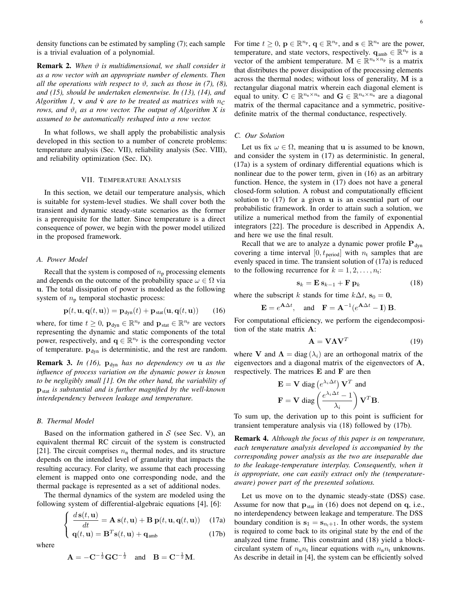density functions can be estimated by sampling (7); each sample is a trivial evaluation of a polynomial.

**Remark 2.** When  $\vartheta$  is multidimensional, we shall consider it *as a row vector with an appropriate number of elements. Then all the operations with respect to*  $\vartheta$ , such as those in (7), (8), *and (15), should be undertaken elementwise. In (13), (14), and Algorithm 1, v and*  $\hat{v}$  *are to be treated as matrices with*  $n_c$ *rows, and*  $\vartheta_i$  *as a row vector. The output of Algorithm X is assumed to be automatically reshaped into a row vector.*

In what follows, we shall apply the probabilistic analysis developed in this section to a number of concrete problems: temperature analysis (Sec. VII), reliability analysis (Sec. VIII), and reliability optimization (Sec. IX).

#### VII. TEMPERATURE ANALYSIS

In this section, we detail our temperature analysis, which is suitable for system-level studies. We shall cover both the transient and dynamic steady-state scenarios as the former is a prerequisite for the latter. Since temperature is a direct consequence of power, we begin with the power model utilized in the proposed framework.

# *A. Power Model*

Recall that the system is composed of  $n_p$  processing elements and depends on the outcome of the probability space  $\omega \in \Omega$  via u. The total dissipation of power is modeled as the following system of  $n_p$  temporal stochastic process:

$$
\mathbf{p}(t, \mathbf{u}, \mathbf{q}(t, \mathbf{u})) = \mathbf{p}_{\text{dyn}}(t) + \mathbf{p}_{\text{stat}}(\mathbf{u}, \mathbf{q}(t, \mathbf{u})) \qquad (16)
$$

where, for time  $t \geq 0$ ,  $\mathbf{p}_{dyn} \in \mathbb{R}^{n_p}$  and  $\mathbf{p}_{stat} \in \mathbb{R}^{n_p}$  are vectors representing the dynamic and static components of the total power, respectively, and  $\mathbf{q} \in \mathbb{R}^{n_p}$  is the corresponding vector of temperature.  $\mathbf{p}_{dyn}$  is deterministic, and the rest are random.

**Remark 3.** *In (16)*,  $p_{dyn}$  *has no dependency on* **u** *as the influence of process variation on the dynamic power is known to be negligibly small [1]. On the other hand, the variability of* pstat *is substantial and is further magnified by the well-known interdependency between leakage and temperature.*

# *B. Thermal Model*

Based on the information gathered in  $S$  (see Sec. V), an equivalent thermal RC circuit of the system is constructed [21]. The circuit comprises  $n_n$  thermal nodes, and its structure depends on the intended level of granularity that impacts the resulting accuracy. For clarity, we assume that each processing element is mapped onto one corresponding node, and the thermal package is represented as a set of additional nodes.

The thermal dynamics of the system are modeled using the following system of differential-algebraic equations [4], [6]:

$$
\begin{cases}\n\frac{d\mathbf{s}(t,\mathbf{u})}{dt} = \mathbf{A}\,\mathbf{s}(t,\mathbf{u}) + \mathbf{B}\,\mathbf{p}(t,\mathbf{u},\mathbf{q}(t,\mathbf{u}))\n\end{cases}
$$
\n(17a)\n  
\n
$$
\mathbf{q}(t,\mathbf{u}) = \mathbf{B}^T\mathbf{s}(t,\mathbf{u}) + \mathbf{q}_{\text{amb}}
$$
\n(17b)

where

$$
A = -C^{-\frac{1}{2}}GC^{-\frac{1}{2}} \text{ and } B = C^{-\frac{1}{2}}M.
$$

For time  $t \geq 0$ ,  $\mathbf{p} \in \mathbb{R}^{n_p}$ ,  $\mathbf{q} \in \mathbb{R}^{n_p}$ , and  $\mathbf{s} \in \mathbb{R}^{n_n}$  are the power, temperature, and state vectors, respectively.  $\mathbf{q}_{\text{amb}} \in \mathbb{R}^{\hat{n}_p}$  is a vector of the ambient temperature.  $\mathbf{M} \in \mathbb{R}^{n_{\text{n}} \times n_{\text{p}}}$  is a matrix that distributes the power dissipation of the processing elements across the thermal nodes; without loss of generality, M is a rectangular diagonal matrix wherein each diagonal element is equal to unity.  $\mathbf{C} \in \mathbb{R}^{n_{\text{n}} \times n_{\text{n}}}$  and  $\mathbf{G} \in \mathbb{R}^{n_{\text{n}} \times n_{\text{n}}}$  are a diagonal matrix of the thermal capacitance and a symmetric, positivedefinite matrix of the thermal conductance, respectively.

# *C. Our Solution*

Let us fix  $\omega \in \Omega$ , meaning that **u** is assumed to be known, and consider the system in (17) as deterministic. In general, (17a) is a system of ordinary differential equations which is nonlinear due to the power term, given in (16) as an arbitrary function. Hence, the system in (17) does not have a general closed-form solution. A robust and computationally efficient solution to (17) for a given u is an essential part of our probabilistic framework. In order to attain such a solution, we utilize a numerical method from the family of exponential integrators [22]. The procedure is described in Appendix A, and here we use the final result.

Recall that we are to analyze a dynamic power profile  $P_{dyn}$ covering a time interval  $[0, t_{period}]$  with  $n_t$  samples that are evenly spaced in time. The transient solution of (17a) is reduced to the following recurrence for  $k = 1, 2, \ldots, n_t$ :

$$
\mathbf{s}_k = \mathbf{E} \, \mathbf{s}_{k-1} + \mathbf{F} \, \mathbf{p}_k \tag{18}
$$

where the subscript k stands for time  $k\Delta t$ ,  $s_0 = 0$ ,

 $\mathbf{E} = e^{\mathbf{A}\Delta t}$ , and  $\mathbf{F} = \mathbf{A}^{-1}(e^{\mathbf{A}\Delta t} - \mathbf{I})\mathbf{B}$ .

For computational efficiency, we perform the eigendecomposition of the state matrix A:

$$
\mathbf{A} = \mathbf{V}\mathbf{\Lambda}\mathbf{V}^T \tag{19}
$$

where **V** and  $\Lambda = \text{diag}(\lambda_i)$  are an orthogonal matrix of the eigenvectors and a diagonal matrix of the eigenvectors of A, respectively. The matrices  $E$  and  $F$  are then

$$
\mathbf{E} = \mathbf{V} \text{ diag} \left( e^{\lambda_i \Delta t} \right) \mathbf{V}^T \text{ and}
$$

$$
\mathbf{F} = \mathbf{V} \text{ diag} \left( \frac{e^{\lambda_i \Delta t} - 1}{\lambda_i} \right) \mathbf{V}^T \mathbf{B}.
$$

To sum up, the derivation up to this point is sufficient for transient temperature analysis via (18) followed by (17b).

Remark 4. *Although the focus of this paper is on temperature, each temperature analysis developed is accompanied by the corresponding power analysis as the two are inseparable due to the leakage-temperature interplay. Consequently, when it is appropriate, one can easily extract only the (temperatureaware) power part of the presented solutions.*

Let us move on to the dynamic steady-state (DSS) case. Assume for now that  $p_{stat}$  in (16) does not depend on q, i.e., no interdependency between leakage and temperature. The DSS boundary condition is  $s_1 = s_{n_t+1}$ . In other words, the system is required to come back to its original state by the end of the analyzed time frame. This constraint and (18) yield a blockcirculant system of  $n_{n}n_{t}$  linear equations with  $n_{n}n_{t}$  unknowns. As describe in detail in [4], the system can be efficiently solved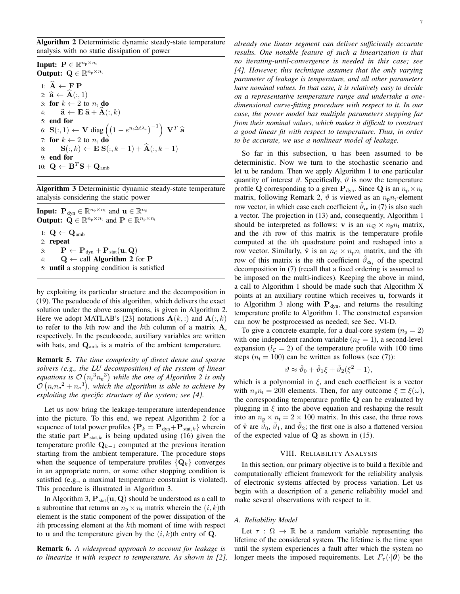Algorithm 2 Deterministic dynamic steady-state temperature analysis with no static dissipation of power

Input:  $\mathbf{P} \in \mathbb{R}^{n_p \times n_t}$ Output:  $\mathbf{Q} \in \mathbb{R}^{n_p \times n_t}$ 1:  $\hat{\mathbf{A}} \leftarrow \mathbf{F} \, \mathbf{P}$ 2:  $\hat{\mathbf{a}} \leftarrow \mathbf{A}(:, 1)$ 3: for  $k \leftarrow 2$  to  $n_t$  do 4:  $\hat{\mathbf{a}} \leftarrow \mathbf{E} \hat{\mathbf{a}} + \mathbf{A}(:, k)$ 5: end for 6:  $\mathbf{S}(:,1) \leftarrow \mathbf{V} \operatorname{diag}\left(\left(1 - e^{n_t \Delta t \lambda_i}\right)^{-1}\right) \mathbf{V}^T \mathbf{\hat{a}}$ 7: for  $k \leftarrow 2$  to  $n_t$  do 8:  $\mathbf{S}(:, k) \leftarrow \widetilde{\mathbf{E}} \widetilde{\mathbf{S}}(:, k-1) + \widehat{\mathbf{A}}(:, k-1)$ 9: end for 10:  $\mathbf{Q} \leftarrow \mathbf{B}^T \mathbf{S} + \mathbf{Q}_{\text{amb}}$ 

Algorithm 3 Deterministic dynamic steady-state temperature analysis considering the static power

**Input:**  $\mathbf{P}_{\text{dyn}} \in \mathbb{R}^{n_{\text{p}} \times n_{\text{t}}}$  and  $\mathbf{u} \in \mathbb{R}^{n_{\text{p}}}$ **Output:**  $\mathbf{Q} \in \mathbb{R}^{n_p \times n_t}$  and  $\mathbf{P} \in \mathbb{R}^{n_p \times n_t}$ 1:  $\mathbf{Q} \leftarrow \mathbf{Q}_{\text{amb}}$ 2: repeat 3:  $\mathbf{P} \leftarrow \mathbf{P}_{dyn} + \mathbf{P}_{stat}(\mathbf{u}, \mathbf{Q})$ 4:  $Q \leftarrow$  call **Algorithm 2** for **P** 5: until a stopping condition is satisfied

by exploiting its particular structure and the decomposition in (19). The pseudocode of this algorithm, which delivers the exact solution under the above assumptions, is given in Algorithm 2. Here we adopt MATLAB's [23] notations  $\mathbf{A}(k,:)$  and  $\mathbf{A}(:,k)$ to refer to the kth row and the kth column of a matrix  $A$ , respectively. In the pseudocode, auxiliary variables are written with hats, and  $\mathbf{Q}_{\text{amb}}$  is a matrix of the ambient temperature.

Remark 5. *The time complexity of direct dense and sparse solvers (e.g., the LU decomposition) of the system of linear equations is*  $\mathcal{O}(n_t^3 n_n^3)$  while the one of Algorithm 2 is only  $\mathcal{O}(n_t n_n^2 + n_n^3)$ , which the algorithm is able to achieve by *exploiting the specific structure of the system; see [4].*

Let us now bring the leakage-temperature interdependence into the picture. To this end, we repeat Algorithm 2 for a sequence of total power profiles  $\{P_k = P_{dyn} + P_{stat,k}\}\$  wherein the static part  $P_{stat,k}$  is being updated using (16) given the temperature profile  $\mathbf{Q}_{k-1}$  computed at the previous iteration starting from the ambient temperature. The procedure stops when the sequence of temperature profiles  $\{Q_k\}$  converges in an appropriate norm, or some other stopping condition is satisfied (e.g., a maximal temperature constraint is violated). This procedure is illustrated in Algorithm 3.

In Algorithm 3,  $\mathbf{P}_{stat}(\mathbf{u}, \mathbf{Q})$  should be understood as a call to a subroutine that returns an  $n_p \times n_t$  matrix wherein the  $(i, k)$ th element is the static component of the power dissipation of the ith processing element at the kth moment of time with respect to **u** and the temperature given by the  $(i, k)$ th entry of **Q**.

Remark 6. *A widespread approach to account for leakage is to linearize it with respect to temperature. As shown in [2],*

*already one linear segment can deliver sufficiently accurate results. One notable feature of such a linearization is that no iterating-until-convergence is needed in this case; see [4]. However, this technique assumes that the only varying parameter of leakage is temperature, and all other parameters have nominal values. In that case, it is relatively easy to decide on a representative temperature range and undertake a onedimensional curve-fitting procedure with respect to it. In our case, the power model has multiple parameters stepping far from their nominal values, which makes it difficult to construct a good linear fit with respect to temperature. Thus, in order to be accurate, we use a nonlinear model of leakage.*

So far in this subsection, u has been assumed to be deterministic. Now we turn to the stochastic scenario and let u be random. Then we apply Algorithm 1 to one particular quantity of interest  $\vartheta$ . Specifically,  $\vartheta$  is now the temperature profile Q corresponding to a given  $P_{dyn}$ . Since Q is an  $n_p \times n_t$ matrix, following Remark 2,  $\vartheta$  is viewed as an  $n_p n_t$ -element row vector, in which case each coefficient  $\vartheta_{\alpha}$  in (7) is also such a vector. The projection in (13) and, consequently, Algorithm 1 should be interpreted as follows: v is an  $n_Q \times n_p n_t$  matrix, and the ith row of this matrix is the temperature profile computed at the ith quadrature point and reshaped into a row vector. Similarly,  $\hat{v}$  is an  $n_c \times n_p n_t$  matrix, and the *i*th row of this matrix is the *i*th coefficient  $\hat{\vartheta}_{\alpha_i}$  of the spectral decomposition in (7) (recall that a fixed ordering is assumed to be imposed on the multi-indices). Keeping the above in mind, a call to Algorithm 1 should be made such that Algorithm X points at an auxiliary routine which receives u, forwards it to Algorithm 3 along with  $P_{dyn}$ , and returns the resulting temperature profile to Algorithm 1. The constructed expansion can now be postprocessed as needed; see Sec. VI-D.

To give a concrete example, for a dual-core system  $(n_p = 2)$ with one independent random variable ( $n_{\xi} = 1$ ), a second-level expansion ( $l_c = 2$ ) of the temperature profile with 100 time steps ( $n_t = 100$ ) can be written as follows (see (7)):

$$
\vartheta \approx \hat{\vartheta}_0 + \hat{\vartheta}_1 \xi + \hat{\vartheta}_2 (\xi^2 - 1),
$$

which is a polynomial in  $\xi$ , and each coefficient is a vector with  $n_p n_t = 200$  elements. Then, for any outcome  $\xi \equiv \xi(\omega)$ , the corresponding temperature profile Q can be evaluated by plugging in  $\xi$  into the above equation and reshaping the result into an  $n_p \times n_t = 2 \times 100$  matrix. In this case, the three rows of  $\hat{\mathbf{v}}$  are  $\hat{\vartheta}_0$ ,  $\hat{\vartheta}_1$ , and  $\hat{\vartheta}_2$ ; the first one is also a flattened version of the expected value of  $Q$  as shown in (15).

## VIII. RELIABILITY ANALYSIS

In this section, our primary objective is to build a flexible and computationally efficient framework for the reliability analysis of electronic systems affected by process variation. Let us begin with a description of a generic reliability model and make several observations with respect to it.

### *A. Reliability Model*

Let  $\tau : \Omega \to \mathbb{R}$  be a random variable representing the lifetime of the considered system. The lifetime is the time span until the system experiences a fault after which the system no longer meets the imposed requirements. Let  $F_{\tau}(\cdot|\theta)$  be the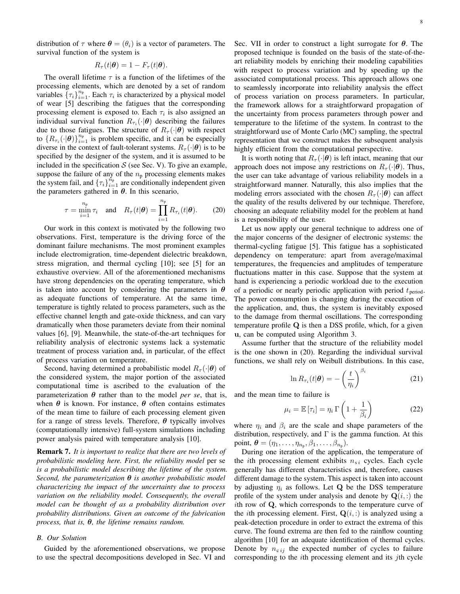distribution of  $\tau$  where  $\theta = (\theta_i)$  is a vector of parameters. The survival function of the system is

$$
R_{\tau}(t|\boldsymbol{\theta})=1-F_{\tau}(t|\boldsymbol{\theta}).
$$

The overall lifetime  $\tau$  is a function of the lifetimes of the processing elements, which are denoted by a set of random variables  $\{\tau_i\}_{i=1}^{n_p}$ . Each  $\tau_i$  is characterized by a physical model of wear [5] describing the fatigues that the corresponding processing element is exposed to. Each  $\tau_i$  is also assigned an individual survival function  $R_{\tau_i}(\cdot | \boldsymbol{\theta})$  describing the failures due to those fatigues. The structure of  $R_{\tau}(\cdot|\theta)$  with respect to  $\{R_{\tau_i}(\cdot | \theta)\}_{i=1}^{n_p}$  is problem specific, and it can be especially diverse in the context of fault-tolerant systems.  $R_{\tau}(\cdot|\boldsymbol{\theta})$  is to be specified by the designer of the system, and it is assumed to be included in the specification  $S$  (see Sec. V). To give an example, suppose the failure of any of the  $n_p$  processing elements makes the system fail, and  $\{\tau_i\}_{i=1}^{\tau_p}$  are conditionally independent given the parameters gathered in  $\theta$ . In this scenario,

$$
\tau = \min_{i=1}^{n_{\text{p}}} \tau_i \quad \text{and} \quad R_{\tau}(t|\boldsymbol{\theta}) = \prod_{i=1}^{n_{\text{p}}} R_{\tau_i}(t|\boldsymbol{\theta}). \tag{20}
$$

Our work in this context is motivated by the following two observations. First, temperature is the driving force of the dominant failure mechanisms. The most prominent examples include electromigration, time-dependent dielectric breakdown, stress migration, and thermal cycling [10]; see [5] for an exhaustive overview. All of the aforementioned mechanisms have strong dependencies on the operating temperature, which is taken into account by considering the parameters in  $\theta$ as adequate functions of temperature. At the same time, temperature is tightly related to process parameters, such as the effective channel length and gate-oxide thickness, and can vary dramatically when those parameters deviate from their nominal values [6], [9]. Meanwhile, the state-of-the-art techniques for reliability analysis of electronic systems lack a systematic treatment of process variation and, in particular, of the effect of process variation on temperature.

Second, having determined a probabilistic model  $R_{\tau}(\cdot|\boldsymbol{\theta})$  of the considered system, the major portion of the associated computational time is ascribed to the evaluation of the parameterization  $\theta$  rather than to the model *per se*, that is, when  $\theta$  is known. For instance,  $\theta$  often contains estimates of the mean time to failure of each processing element given for a range of stress levels. Therefore,  $\theta$  typically involves (computationally intensive) full-system simulations including power analysis paired with temperature analysis [10].

Remark 7. *It is important to realize that there are two levels of probabilistic modeling here. First, the reliability model* per se *is a probabilistic model describing the lifetime of the system. Second, the parameterization* θ *is another probabilistic model characterizing the impact of the uncertainty due to process variation on the reliability model. Consequently, the overall model can be thought of as a probability distribution over probability distributions. Given an outcome of the fabrication process, that is,* θ*, the lifetime remains random.*

#### *B. Our Solution*

Guided by the aforementioned observations, we propose to use the spectral decompositions developed in Sec. VI and Sec. VII in order to construct a light surrogate for  $\theta$ . The proposed technique is founded on the basis of the state-of-theart reliability models by enriching their modeling capabilities with respect to process variation and by speeding up the associated computational process. This approach allows one to seamlessly incorporate into reliability analysis the effect of process variation on process parameters. In particular, the framework allows for a straightforward propagation of the uncertainty from process parameters through power and temperature to the lifetime of the system. In contrast to the straightforward use of Monte Carlo (MC) sampling, the spectral representation that we construct makes the subsequent analysis highly efficient from the computational perspective.

It is worth noting that  $R_{\tau}(\cdot|\boldsymbol{\theta})$  is left intact, meaning that our approach does not impose any restrictions on  $R_{\tau}(\cdot|\boldsymbol{\theta})$ . Thus, the user can take advantage of various reliability models in a straightforward manner. Naturally, this also implies that the modeling errors associated with the chosen  $R_{\tau}(\cdot|\boldsymbol{\theta})$  can affect the quality of the results delivered by our technique. Therefore, choosing an adequate reliability model for the problem at hand is a responsibility of the user.

Let us now apply our general technique to address one of the major concerns of the designer of electronic systems: the thermal-cycling fatigue [5]. This fatigue has a sophisticated dependency on temperature: apart from average/maximal temperatures, the frequencies and amplitudes of temperature fluctuations matter in this case. Suppose that the system at hand is experiencing a periodic workload due to the execution of a periodic or nearly periodic application with period  $t_{\text{period}}$ . The power consumption is changing during the execution of the application, and, thus, the system is inevitably exposed to the damage from thermal oscillations. The corresponding temperature profile Q is then a DSS profile, which, for a given u, can be computed using Algorithm 3.

Assume further that the structure of the reliability model is the one shown in (20). Regarding the individual survival functions, we shall rely on Weibull distributions. In this case,

$$
\ln R_{\tau_i}(t|\boldsymbol{\theta}) = -\left(\frac{t}{\eta_i}\right)^{\beta_i} \tag{21}
$$

and the mean time to failure is

$$
\mu_i = \mathbb{E}\left[\tau_i\right] = \eta_i \,\Gamma\left(1 + \frac{1}{\beta_i}\right) \tag{22}
$$

where  $\eta_i$  and  $\beta_i$  are the scale and shape parameters of the distribution, respectively, and  $\Gamma$  is the gamma function. At this point,  $\boldsymbol{\theta} = (\eta_1, \dots, \eta_{n_p}, \beta_1, \dots, \beta_{n_p}).$ 

During one iteration of the application, the temperature of the *i*th processing element exhibits  $n_{s i}$  cycles. Each cycle generally has different characteristics and, therefore, causes different damage to the system. This aspect is taken into account by adjusting  $\eta_i$  as follows. Let Q be the DSS temperature profile of the system under analysis and denote by  $Q(i, :)$  the ith row of Q, which corresponds to the temperature curve of the *i*th processing element. First,  $Q(i,:)$  is analyzed using a peak-detection procedure in order to extract the extrema of this curve. The found extrema are then fed to the rainflow counting algorithm [10] for an adequate identification of thermal cycles. Denote by  $n_{c i j}$  the expected number of cycles to failure corresponding to the ith processing element and its jth cycle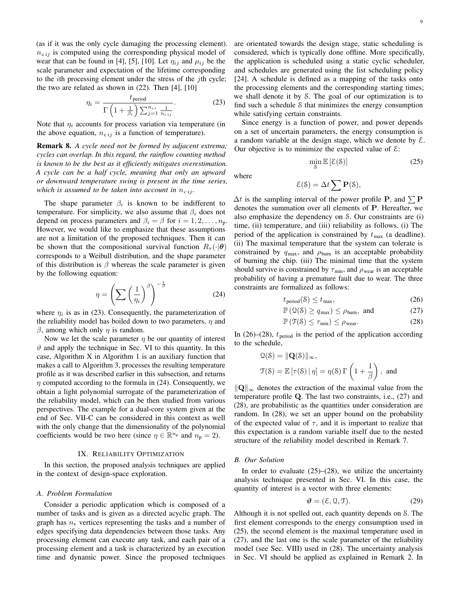(as if it was the only cycle damaging the processing element).  $n_{c ij}$  is computed using the corresponding physical model of wear that can be found in [4], [5], [10]. Let  $\eta_{ij}$  and  $\mu_{ij}$  be the scale parameter and expectation of the lifetime corresponding to the ith processing element under the stress of the jth cycle; the two are related as shown in  $(22)$ . Then [4], [10]

$$
\eta_i = \frac{t_{\text{period}}}{\Gamma\left(1 + \frac{1}{\beta_i}\right)\sum_{j=1}^{n_{si}} \frac{1}{n_{c\,ij}}}.
$$
\n(23)

Note that  $\eta_i$  accounts for process variation via temperature (in the above equation,  $n_{c i j}$  is a function of temperature).

Remark 8. *A cycle need not be formed by adjacent extrema; cycles can overlap. In this regard, the rainflow counting method is known to be the best as it efficiently mitigates overestimation. A cycle can be a half cycle, meaning that only an upward or downward temperature swing is present in the time series, which is assumed to be taken into account in*  $n_{ci}$ .

The shape parameter  $\beta_i$  is known to be indifferent to temperature. For simplicity, we also assume that  $\beta_i$  does not depend on process parameters and  $\beta_i = \beta$  for  $i = 1, 2, \dots, n_p$ . However, we would like to emphasize that these assumptions are not a limitation of the proposed techniques. Then it can be shown that the compositional survival function  $R_{\tau}(\cdot|\boldsymbol{\theta})$ corresponds to a Weibull distribution, and the shape parameter of this distribution is  $\beta$  whereas the scale parameter is given by the following equation:

$$
\eta = \left(\sum \left(\frac{1}{\eta_i}\right)^{\beta}\right)^{-\frac{1}{\beta}}\tag{24}
$$

where  $\eta_i$  is as in (23). Consequently, the parameterization of the reliability model has boiled down to two parameters,  $\eta$  and  $β$ , among which only  $η$  is random.

Now we let the scale parameter  $\eta$  be our quantity of interest  $\vartheta$  and apply the technique in Sec. VI to this quantity. In this case, Algorithm X in Algorithm 1 is an auxiliary function that makes a call to Algorithm 3, processes the resulting temperature profile as it was described earlier in this subsection, and returns  $\eta$  computed according to the formula in (24). Consequently, we obtain a light polynomial surrogate of the parameterization of the reliability model, which can be then studied from various perspectives. The example for a dual-core system given at the end of Sec. VII-C can be considered in this context as well with the only change that the dimensionality of the polynomial coefficients would be two here (since  $\eta \in \mathbb{R}^{n_p}$  and  $n_p = 2$ ).

## IX. RELIABILITY OPTIMIZATION

In this section, the proposed analysis techniques are applied in the context of design-space exploration.

## *A. Problem Formulation*

Consider a periodic application which is composed of a number of tasks and is given as a directed acyclic graph. The graph has  $n<sub>v</sub>$  vertices representing the tasks and a number of edges specifying data dependencies between those tasks. Any processing element can execute any task, and each pair of a processing element and a task is characterized by an execution time and dynamic power. Since the proposed techniques are orientated towards the design stage, static scheduling is considered, which is typically done offline. More specifically, the application is scheduled using a static cyclic scheduler, and schedules are generated using the list scheduling policy [24]. A schedule is defined as a mapping of the tasks onto the processing elements and the corresponding starting times; we shall denote it by S. The goal of our optimization is to find such a schedule S that minimizes the energy consumption while satisfying certain constraints.

Since energy is a function of power, and power depends on a set of uncertain parameters, the energy consumption is a random variable at the design stage, which we denote by  $\mathcal{E}$ . Our objective is to minimize the expected value of  $\mathcal{E}$ :

where

$$
\mathcal{E}(\mathcal{S}) = \Delta t \sum \mathbf{P}(\mathcal{S}),
$$

 $\Delta t$  is the sampling interval of the power profile P, and  $\sum P$ denotes the summation over all elements of P. Hereafter, we also emphasize the dependency on S. Our constraints are (i) time, (ii) temperature, and (iii) reliability as follows. (i) The period of the application is constrained by  $t_{\text{max}}$  (a deadline). (ii) The maximal temperature that the system can tolerate is constrained by  $q_{\text{max}}$ , and  $\rho_{\text{burn}}$  is an acceptable probability of burning the chip. (iii) The minimal time that the system should survive is constrained by  $\tau_{\min}$ , and  $\rho_{\text{year}}$  is an acceptable probability of having a premature fault due to wear. The three constraints are formalized as follows:

$$
t_{\text{period}}(\mathcal{S}) \le t_{\text{max}},\tag{26}
$$

 $\min_{\mathcal{S}} \mathbb{E} [\mathcal{E}(\mathcal{S})]$  (25)

$$
\mathbb{P}\left(\mathcal{Q}(\mathcal{S}) \ge q_{\text{max}}\right) \le \rho_{\text{burn}}, \text{ and } \tag{27}
$$

$$
\mathbb{P}\left(\mathfrak{T}(\mathcal{S}) \le \tau_{\min}\right) \le \rho_{\text{ wear}}.\tag{28}
$$

In (26)–(28),  $t_{\text{period}}$  is the period of the application according to the schedule,

$$
\mathcal{Q}(\mathcal{S}) = \|\mathbf{Q}(\mathcal{S})\|_{\infty},
$$
  

$$
\mathcal{T}(\mathcal{S}) = \mathbb{E}\left[\tau(\mathcal{S}) \mid \eta\right] = \eta(\mathcal{S}) \Gamma\left(1 + \frac{1}{\beta}\right), \text{ and}
$$

 $\|\mathbf{Q}\|_{\infty}$  denotes the extraction of the maximal value from the temperature profile Q. The last two constraints, i.e., (27) and (28), are probabilistic as the quantities under consideration are random. In (28), we set an upper bound on the probability of the expected value of  $\tau$ , and it is important to realize that this expectation is a random variable itself due to the nested structure of the reliability model described in Remark 7.

#### *B. Our Solution*

In order to evaluate  $(25)$ – $(28)$ , we utilize the uncertainty analysis technique presented in Sec. VI. In this case, the quantity of interest is a vector with three elements:

$$
\mathbf{\vartheta} = (\mathcal{E}, \mathcal{Q}, \mathcal{T}).\tag{29}
$$

Although it is not spelled out, each quantity depends on S. The first element corresponds to the energy consumption used in (25), the second element is the maximal temperature used in (27), and the last one is the scale parameter of the reliability model (see Sec. VIII) used in (28). The uncertainty analysis in Sec. VI should be applied as explained in Remark 2. In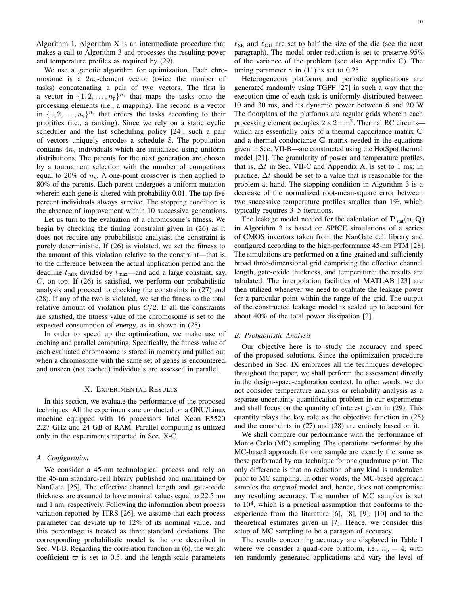Algorithm 1, Algorithm X is an intermediate procedure that makes a call to Algorithm 3 and processes the resulting power and temperature profiles as required by (29).

We use a genetic algorithm for optimization. Each chromosome is a  $2n_v$ -element vector (twice the number of tasks) concatenating a pair of two vectors. The first is a vector in  $\{1, 2, ..., n_p\}^{n_v}$  that maps the tasks onto the processing elements (i.e., a mapping). The second is a vector in  $\{1, 2, \ldots, n_v\}^{n_v}$  that orders the tasks according to their priorities (i.e., a ranking). Since we rely on a static cyclic scheduler and the list scheduling policy [24], such a pair of vectors uniquely encodes a schedule S. The population contains  $4n_v$  individuals which are initialized using uniform distributions. The parents for the next generation are chosen by a tournament selection with the number of competitors equal to 20% of  $n_v$ . A one-point crossover is then applied to 80% of the parents. Each parent undergoes a uniform mutation wherein each gene is altered with probability 0.01. The top fivepercent individuals always survive. The stopping condition is the absence of improvement within 10 successive generations.

Let us turn to the evaluation of a chromosome's fitness. We begin by checking the timing constraint given in (26) as it does not require any probabilistic analysis; the constraint is purely deterministic. If (26) is violated, we set the fitness to the amount of this violation relative to the constraint—that is, to the difference between the actual application period and the deadline  $t_{\text{max}}$  divided by  $t_{\text{max}}$ —and add a large constant, say,  $C$ , on top. If (26) is satisfied, we perform our probabilistic analysis and proceed to checking the constraints in (27) and (28). If any of the two is violated, we set the fitness to the total relative amount of violation plus  $C/2$ . If all the constraints are satisfied, the fitness value of the chromosome is set to the expected consumption of energy, as in shown in (25).

In order to speed up the optimization, we make use of caching and parallel computing. Specifically, the fitness value of each evaluated chromosome is stored in memory and pulled out when a chromosome with the same set of genes is encountered, and unseen (not cached) individuals are assessed in parallel.

## X. EXPERIMENTAL RESULTS

In this section, we evaluate the performance of the proposed techniques. All the experiments are conducted on a GNU/Linux machine equipped with 16 processors Intel Xeon E5520 2.27 GHz and 24 GB of RAM. Parallel computing is utilized only in the experiments reported in Sec. X-C.

## *A. Configuration*

We consider a 45-nm technological process and rely on the 45-nm standard-cell library published and maintained by NanGate [25]. The effective channel length and gate-oxide thickness are assumed to have nominal values equal to 22.5 nm and 1 nm, respectively. Following the information about process variation reported by ITRS [26], we assume that each process parameter can deviate up to 12% of its nominal value, and this percentage is treated as three standard deviations. The corresponding probabilistic model is the one described in Sec. VI-B. Regarding the correlation function in (6), the weight coefficient  $\varpi$  is set to 0.5, and the length-scale parameters

 $\ell_{\text{SE}}$  and  $\ell_{\text{OU}}$  are set to half the size of the die (see the next paragraph). The model order reduction is set to preserve 95% of the variance of the problem (see also Appendix C). The tuning parameter  $\gamma$  in (11) is set to 0.25.

Heterogeneous platforms and periodic applications are generated randomly using TGFF [27] in such a way that the execution time of each task is uniformly distributed between 10 and 30 ms, and its dynamic power between 6 and 20 W. The floorplans of the platforms are regular grids wherein each processing element occupies  $2 \times 2$  mm<sup>2</sup>. Thermal RC circuits which are essentially pairs of a thermal capacitance matrix C and a thermal conductance G matrix needed in the equations given in Sec. VII-B—are constructed using the HotSpot thermal model [21]. The granularity of power and temperature profiles, that is,  $\Delta t$  in Sec. VII-C and Appendix A, is set to 1 ms; in practice,  $\Delta t$  should be set to a value that is reasonable for the problem at hand. The stopping condition in Algorithm 3 is a decrease of the normalized root-mean-square error between two successive temperature profiles smaller than 1%, which typically requires 3–5 iterations.

The leakage model needed for the calculation of  $P_{stat}(u, Q)$ in Algorithm 3 is based on SPICE simulations of a series of CMOS invertors taken from the NanGate cell library and configured according to the high-performance 45-nm PTM [28]. The simulations are performed on a fine-grained and sufficiently broad three-dimensional grid comprising the effective channel length, gate-oxide thickness, and temperature; the results are tabulated. The interpolation facilities of MATLAB [23] are then utilized whenever we need to evaluate the leakage power for a particular point within the range of the grid. The output of the constructed leakage model is scaled up to account for about 40% of the total power dissipation [2].

#### *B. Probabilistic Analysis*

Our objective here is to study the accuracy and speed of the proposed solutions. Since the optimization procedure described in Sec. IX embraces all the techniques developed throughout the paper, we shall perform the assessment directly in the design-space-exploration context. In other words, we do not consider temperature analysis or reliability analysis as a separate uncertainty quantification problem in our experiments and shall focus on the quantity of interest given in (29). This quantity plays the key role as the objective function in (25) and the constraints in (27) and (28) are entirely based on it.

We shall compare our performance with the performance of Monte Carlo (MC) sampling. The operations performed by the MC-based approach for one sample are exactly the same as those performed by our technique for one quadrature point. The only difference is that no reduction of any kind is undertaken prior to MC sampling. In other words, the MC-based approach samples the *original* model and, hence, does not compromise any resulting accuracy. The number of MC samples is set to  $10<sup>4</sup>$ , which is a practical assumption that conforms to the experience from the literature [6], [8], [9], [10] and to the theoretical estimates given in [7]. Hence, we consider this setup of MC sampling to be a paragon of accuracy.

The results concerning accuracy are displayed in Table I where we consider a quad-core platform, i.e.,  $n_p = 4$ , with ten randomly generated applications and vary the level of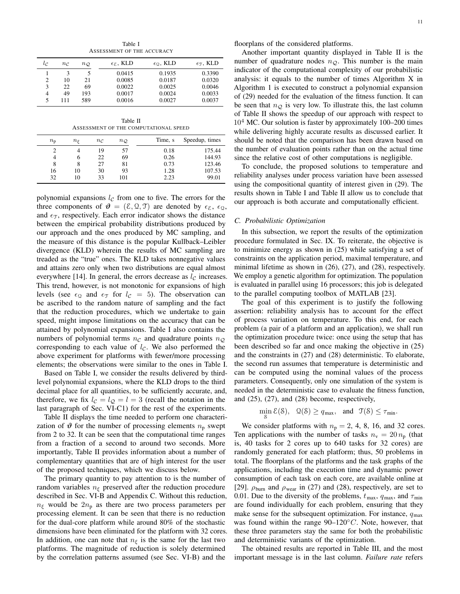Table I ASSESSMENT OF THE ACCURACY

|                       |                   |                   | $\epsilon$ g, KLD | $\epsilon_0$ , KLD | $\epsilon_{\rm T}$ , KLD |
|-----------------------|-------------------|-------------------|-------------------|--------------------|--------------------------|
| $\iota_{\mathcal{C}}$ | $n_{\mathcal{C}}$ | $n_{\mathcal{Q}}$ |                   |                    |                          |
|                       | 3                 |                   | 0.0415            | 0.1935             | 0.3390                   |
| 2                     | 10                | 21                | 0.0085            | 0.0187             | 0.0320                   |
| 3                     | 22                | 69                | 0.0022            | 0.0025             | 0.0046                   |
| 4                     | 49                | 193               | 0.0017            | 0.0024             | 0.0033                   |
| 5                     | 111               | 589               | 0.0016            | 0.0027             | 0.0037                   |

Table II ASSESSMENT OF THE COMPUTATIONAL SPEED

| $n_{\rm p}$ | $n_{\mathcal{E}}$ | $n_{\mathcal{C}}$ | $n_{\mathcal{Q}}$ | Time, s | Speedup, times |
|-------------|-------------------|-------------------|-------------------|---------|----------------|
|             |                   | 19                | 57                | 0.18    | 175.44         |
| 4           | O                 | 22                | 69                | 0.26    | 144.93         |
| 8           |                   | 27                | 81                | 0.73    | 123.46         |
| 16          | 10                | 30                | 93                | 1.28    | 107.53         |
| 32          | 10                | 33                | 101               | 2.23    | 99.01          |

polynomial expansions  $l_c$  from one to five. The errors for the three components of  $\mathbf{\vartheta} = (\mathcal{E}, \mathcal{Q}, \mathcal{T})$  are denoted by  $\epsilon_{\mathcal{E}}, \epsilon_{\mathcal{Q}},$ and  $\epsilon_{\text{T}}$ , respectively. Each error indicator shows the distance between the empirical probability distributions produced by our approach and the ones produced by MC sampling, and the measure of this distance is the popular Kullback–Leibler divergence (KLD) wherein the results of MC sampling are treaded as the "true" ones. The KLD takes nonnegative values and attains zero only when two distributions are equal almost everywhere [14]. In general, the errors decrease as  $l_c$  increases. This trend, however, is not monotonic for expansions of high levels (see  $\epsilon_{\Omega}$  and  $\epsilon_{\Upsilon}$  for  $l_{\mathcal{C}} = 5$ ). The observation can be ascribed to the random nature of sampling and the fact that the reduction procedures, which we undertake to gain speed, might impose limitations on the accuracy that can be attained by polynomial expansions. Table I also contains the numbers of polynomial terms  $n_c$  and quadrature points  $n_c$ corresponding to each value of  $l_c$ . We also performed the above experiment for platforms with fewer/more processing elements; the observations were similar to the ones in Table I.

Based on Table I, we consider the results delivered by thirdlevel polynomial expansions, where the KLD drops to the third decimal place for all quantities, to be sufficiently accurate, and, therefore, we fix  $l_c = l_{\mathcal{Q}} = l = 3$  (recall the notation in the last paragraph of Sec. VI-C1) for the rest of the experiments.

Table II displays the time needed to perform one characterization of  $\vartheta$  for the number of processing elements  $n_p$  swept from 2 to 32. It can be seen that the computational time ranges from a fraction of a second to around two seconds. More importantly, Table II provides information about a number of complementary quantities that are of high interest for the user of the proposed techniques, which we discuss below.

The primary quantity to pay attention to is the number of random variables  $n_f$  preserved after the reduction procedure described in Sec. VI-B and Appendix C. Without this reduction,  $n_{\xi}$  would be  $2n_{\text{p}}$  as there are two process parameters per processing element. It can be seen that there is no reduction for the dual-core platform while around 80% of the stochastic dimensions have been eliminated for the platform with 32 cores. In addition, one can note that  $n_{\xi}$  is the same for the last two platforms. The magnitude of reduction is solely determined by the correlation patterns assumed (see Sec. VI-B) and the

floorplans of the considered platforms.

Another important quantity displayed in Table II is the number of quadrature nodes  $n_Q$ . This number is the main indicator of the computational complexity of our probabilistic analysis: it equals to the number of times Algorithm X in Algorithm 1 is executed to construct a polynomial expansion of (29) needed for the evaluation of the fitness function. It can be seen that  $n_{\mathcal{Q}}$  is very low. To illustrate this, the last column of Table II shows the speedup of our approach with respect to  $10<sup>4</sup>$  MC. Our solution is faster by approximately 100–200 times while delivering highly accurate results as discussed earlier. It should be noted that the comparison has been drawn based on the number of evaluation points rather than on the actual time since the relative cost of other computations is negligible.

To conclude, the proposed solutions to temperature and reliability analyses under process variation have been assessed using the compositional quantity of interest given in (29). The results shown in Table I and Table II allow us to conclude that our approach is both accurate and computationally efficient.

#### *C. Probabilistic Optimization*

In this subsection, we report the results of the optimization procedure formulated in Sec. IX. To reiterate, the objective is to minimize energy as shown in (25) while satisfying a set of constraints on the application period, maximal temperature, and minimal lifetime as shown in (26), (27), and (28), respectively. We employ a genetic algorithm for optimization. The population is evaluated in parallel using 16 processors; this job is delegated to the parallel computing toolbox of MATLAB [23].

The goal of this experiment is to justify the following assertion: reliability analysis has to account for the effect of process variation on temperature. To this end, for each problem (a pair of a platform and an application), we shall run the optimization procedure twice: once using the setup that has been described so far and once making the objective in (25) and the constraints in (27) and (28) deterministic. To elaborate, the second run assumes that temperature is deterministic and can be computed using the nominal values of the process parameters. Consequently, only one simulation of the system is needed in the deterministic case to evaluate the fitness function, and (25), (27), and (28) become, respectively,

$$
\min_{\mathcal{S}} \mathcal{E}(\mathcal{S}), \quad \mathcal{Q}(\mathcal{S}) \ge q_{\max}, \quad \text{and} \quad \mathcal{T}(\mathcal{S}) \le \tau_{\min}.
$$

We consider platforms with  $n_p = 2, 4, 8, 16,$  and 32 cores. Ten applications with the number of tasks  $n_v = 20 n_p$  (that is, 40 tasks for 2 cores up to 640 tasks for 32 cores) are randomly generated for each platform; thus, 50 problems in total. The floorplans of the platforms and the task graphs of the applications, including the execution time and dynamic power consumption of each task on each core, are available online at [29].  $\rho_{\text{burn}}$  and  $\rho_{\text{year}}$  in (27) and (28), respectively, are set to 0.01. Due to the diversity of the problems,  $t_{\text{max}}$ ,  $q_{\text{max}}$ , and  $\tau_{\text{min}}$ are found individually for each problem, ensuring that they make sense for the subsequent optimization. For instance,  $q_{\text{max}}$ was found within the range  $90-120\degree C$ . Note, however, that these three parameters stay the same for both the probabilistic and deterministic variants of the optimization.

The obtained results are reported in Table III, and the most important message is in the last column. *Failure rate* refers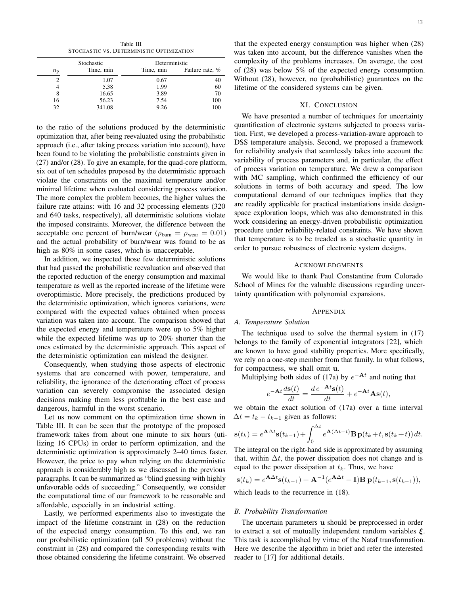Table III STOCHASTIC VS. DETERMINISTIC OPTIMIZATION

| Stochastic  |           | Deterministic |                 |
|-------------|-----------|---------------|-----------------|
| $n_{\rm p}$ | Time, min | Time, min     | Failure rate, % |
| 2           | 1.07      | 0.67          | 40              |
|             | 5.38      | 1.99          | 60              |
| 8           | 16.65     | 3.89          | 70              |
| 16          | 56.23     | 7.54          | 100             |
| 32          | 341.08    | 9.26          | 100             |

to the ratio of the solutions produced by the deterministic optimization that, after being reevaluated using the probabilistic approach (i.e., after taking process variation into account), have been found to be violating the probabilistic constraints given in (27) and/or (28). To give an example, for the quad-core platform, six out of ten schedules proposed by the deterministic approach violate the constraints on the maximal temperature and/or minimal lifetime when evaluated considering process variation. The more complex the problem becomes, the higher values the failure rate attains: with 16 and 32 processing elements (320 and 640 tasks, respectively), all deterministic solutions violate the imposed constraints. Moreover, the difference between the acceptable one percent of burn/wear ( $\rho_{\text{burn}} = \rho_{\text{near}} = 0.01$ ) and the actual probability of burn/wear was found to be as high as 80% in some cases, which is unacceptable.

In addition, we inspected those few deterministic solutions that had passed the probabilistic reevaluation and observed that the reported reduction of the energy consumption and maximal temperature as well as the reported increase of the lifetime were overoptimistic. More precisely, the predictions produced by the deterministic optimization, which ignores variations, were compared with the expected values obtained when process variation was taken into account. The comparison showed that the expected energy and temperature were up to 5% higher while the expected lifetime was up to 20% shorter than the ones estimated by the deterministic approach. This aspect of the deterministic optimization can mislead the designer.

Consequently, when studying those aspects of electronic systems that are concerned with power, temperature, and reliability, the ignorance of the deteriorating effect of process variation can severely compromise the associated design decisions making them less profitable in the best case and dangerous, harmful in the worst scenario.

Let us now comment on the optimization time shown in Table III. It can be seen that the prototype of the proposed framework takes from about one minute to six hours (utilizing 16 CPUs) in order to perform optimization, and the deterministic optimization is approximately 2–40 times faster. However, the price to pay when relying on the deterministic approach is considerably high as we discussed in the previous paragraphs. It can be summarized as "blind guessing with highly unfavorable odds of succeeding." Consequently, we consider the computational time of our framework to be reasonable and affordable, especially in an industrial setting.

Lastly, we performed experiments also to investigate the impact of the lifetime constraint in (28) on the reduction of the expected energy consumption. To this end, we ran our probabilistic optimization (all 50 problems) without the constraint in (28) and compared the corresponding results with those obtained considering the lifetime constraint. We observed

that the expected energy consumption was higher when (28) was taken into account, but the difference vanishes when the complexity of the problems increases. On average, the cost of (28) was below 5% of the expected energy consumption. Without (28), however, no (probabilistic) guarantees on the lifetime of the considered systems can be given.

# XI. CONCLUSION

We have presented a number of techniques for uncertainty quantification of electronic systems subjected to process variation. First, we developed a process-variation-aware approach to DSS temperature analysis. Second, we proposed a framework for reliability analysis that seamlessly takes into account the variability of process parameters and, in particular, the effect of process variation on temperature. We drew a comparison with MC sampling, which confirmed the efficiency of our solutions in terms of both accuracy and speed. The low computational demand of our techniques implies that they are readily applicable for practical instantiations inside designspace exploration loops, which was also demonstrated in this work considering an energy-driven probabilistic optimization procedure under reliability-related constraints. We have shown that temperature is to be treaded as a stochastic quantity in order to pursue robustness of electronic system designs.

## ACKNOWLEDGMENTS

We would like to thank Paul Constantine from Colorado School of Mines for the valuable discussions regarding uncertainty quantification with polynomial expansions.

#### APPENDIX

#### *A. Temperature Solution*

The technique used to solve the thermal system in (17) belongs to the family of exponential integrators [22], which are known to have good stability properties. More specifically, we rely on a one-step member from that family. In what follows, for compactness, we shall omit u.

Multiplying both sides of (17a) by  $e^{-At}$  and noting that

$$
e^{-\mathbf{A}t}\frac{d\mathbf{s}(t)}{dt} = \frac{d e^{-\mathbf{A}t}\mathbf{s}(t)}{dt} + e^{-\mathbf{A}t}\mathbf{A}\mathbf{s}(t),
$$

we obtain the exact solution of (17a) over a time interval  $\Delta t = t_k - t_{k-1}$  given as follows:

$$
\mathbf{s}(t_k) = e^{\mathbf{A}\Delta t}\mathbf{s}(t_{k-1}) + \int_0^{\Delta t} e^{\mathbf{A}(\Delta t - t)} \mathbf{B} \mathbf{p}(t_k + t, \mathbf{s}(t_k + t)) dt.
$$

The integral on the right-hand side is approximated by assuming that, within  $\Delta t$ , the power dissipation does not change and is equal to the power dissipation at  $t_k$ . Thus, we have

$$
\mathbf{s}(t_k) = e^{\mathbf{A}\Delta t}\mathbf{s}(t_{k-1}) + \mathbf{A}^{-1}(e^{\mathbf{A}\Delta t} - \mathbf{I})\mathbf{B}\mathbf{p}(t_{k-1}, \mathbf{s}(t_{k-1})),
$$

which leads to the recurrence in (18).

# *B. Probability Transformation*

The uncertain parameters u should be preprocessed in order to extract a set of mutually independent random variables ξ. This task is accomplished by virtue of the Nataf transformation. Here we describe the algorithm in brief and refer the interested reader to [17] for additional details.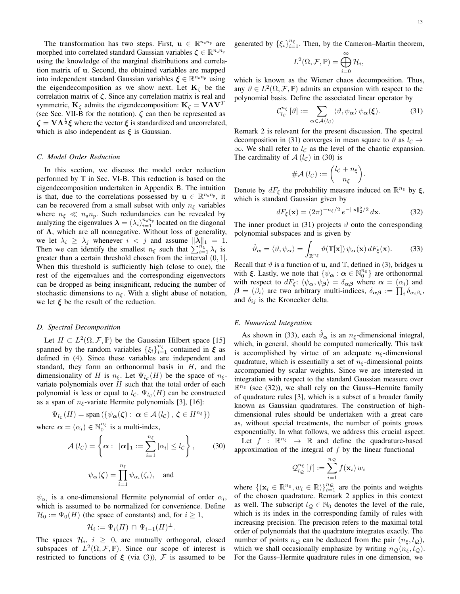The transformation has two steps. First,  $\mathbf{u} \in \mathbb{R}^{n_u n_p}$  are morphed into correlated standard Gaussian variables  $\zeta \in \mathbb{R}^{n_u n_p}$ using the knowledge of the marginal distributions and correlation matrix of u. Second, the obtained variables are mapped into independent standard Gaussian variables  $\xi \in \mathbb{R}^{n_u n_p}$  using the eigendecomposition as we show next. Let  $K_c$  be the correlation matrix of  $\zeta$ . Since any correlation matrix is real and symmetric,  $\mathbf{K}_{\zeta}$  admits the eigendecomposition:  $\mathbf{K}_{\zeta} = \mathbf{V}\mathbf{\Lambda}\mathbf{V}^T$ (see Sec. VII-B for the notation).  $\zeta$  can then be represented as  $\zeta = V \Lambda^{\frac{1}{2}} \xi$  where the vector  $\xi$  is standardized and uncorrelated, which is also independent as  $\xi$  is Gaussian.

# *C. Model Order Reduction*

In this section, we discuss the model order reduction performed by T in Sec. VI-B. This reduction is based on the eigendecomposition undertaken in Appendix B. The intuition is that, due to the correlations possessed by  $\mathbf{u} \in \mathbb{R}^{n_u n_p}$ , it can be recovered from a small subset with only  $n_{\xi}$  variables where  $n_{\xi} \ll n_{\text{u}} n_{\text{p}}$ . Such redundancies can be revealed by analyzing the eigenvalues  $\lambda = (\lambda_i)_{i=1}^{n_u n_p}$  located on the diagonal of  $\Lambda$ , which are all nonnegative. Without loss of generality, we let  $\lambda_i \geq \lambda_j$  whenever  $i < j$  and assume  $\|\lambda\|_1 = 1$ . Then we can identify the smallest  $n_{\xi}$  such that  $\sum_{i=1}^{n_{\xi}} \lambda_i$  is greater than a certain threshold chosen from the interval  $(0, 1]$ . When this threshold is sufficiently high (close to one), the rest of the eigenvalues and the corresponding eigenvectors can be dropped as being insignificant, reducing the number of stochastic dimensions to  $n_{\xi}$ . With a slight abuse of notation, we let  $\xi$  be the result of the reduction.

# *D. Spectral Decomposition*

Let  $H \subset L^2(\Omega, \mathcal{F}, \mathbb{P})$  be the Gaussian Hilbert space [15] spanned by the random variables  $\{\xi_i\}_{i=1}^{n_{\xi}}$  contained in  $\xi$  as defined in (4). Since these variables are independent and standard, they form an orthonormal basis in  $H$ , and the dimensionality of H is  $n_{\xi}$ . Let  $\Psi_{l_c}(H)$  be the space of  $n_{\xi}$ variate polynomials over  $H$  such that the total order of each polynomial is less or equal to  $l_c$ .  $\Psi_{l_c}(H)$  can be constructed as a span of  $n_{\xi}$ -variate Hermite polynomials [3], [16]:

$$
\Psi_{l_{\mathcal{C}}}(H) = \text{span}\left(\{\psi_{\boldsymbol{\alpha}}(\boldsymbol{\zeta}) : \, \boldsymbol{\alpha} \in \mathcal{A}\left(l_{\mathcal{C}}\right), \, \boldsymbol{\zeta} \in H^{n_{\xi}}\}\right)
$$

where  $\boldsymbol{\alpha} = (\alpha_i) \in \mathbb{N}_0^{n_{\xi}}$  is a multi-index,

$$
\mathcal{A} (l_c) = \left\{ \alpha : ||\alpha||_1 := \sum_{i=1}^{n_{\xi}} |\alpha_i| \le l_c \right\},\qquad(30)
$$

$$
\psi_{\alpha}(\zeta) = \prod_{i=1}^{n_{\xi}} \psi_{\alpha_i}(\zeta_i), \quad \text{and}
$$

 $\psi_{\alpha_i}$  is a one-dimensional Hermite polynomial of order  $\alpha_i$ , which is assumed to be normalized for convenience. Define  $\mathcal{H}_0 := \Psi_0(H)$  (the space of constants) and, for  $i \geq 1$ ,

$$
\mathcal{H}_i := \Psi_i(H) \cap \Psi_{i-1}(H)^{\perp}.
$$

The spaces  $\mathcal{H}_i$ ,  $i \geq 0$ , are mutually orthogonal, closed subspaces of  $L^2(\Omega, \mathcal{F}, \mathbb{P})$ . Since our scope of interest is restricted to functions of  $\xi$  (via (3)),  $\mathcal F$  is assumed to be generated by  $\{\xi_i\}_{i=1}^{n_{\xi}}$ . Then, by the Cameron–Martin theorem,

$$
L^2(\Omega, \mathcal{F}, \mathbb{P}) = \bigoplus_{i=0}^{\infty} \mathcal{H}_i,
$$

which is known as the Wiener chaos decomposition. Thus, any  $\vartheta \in L^2(\Omega, \mathcal{F}, \mathbb{P})$  admits an expansion with respect to the polynomial basis. Define the associated linear operator by

$$
\mathcal{C}_{l_c}^{n_{\xi}}\left[\vartheta\right] := \sum_{\alpha \in \mathcal{A}(l_c)} \langle \vartheta, \psi_{\alpha} \rangle \psi_{\alpha}(\xi). \tag{31}
$$

Remark 2 is relevant for the present discussion. The spectral decomposition in (31) converges in mean square to  $\vartheta$  as  $l_c \rightarrow$  $\infty$ . We shall refer to  $l_c$  as the level of the chaotic expansion. The cardinality of  $A(l_c)$  in (30) is

$$
\#\mathcal{A}\left(l_{\mathcal{C}}\right):=\binom{l_{\mathcal{C}}+n_{\xi}}{n_{\xi}}.
$$

Denote by  $dF_{\xi}$  the probability measure induced on  $\mathbb{R}^{n_{\xi}}$  by  $\xi$ , which is standard Gaussian given by

$$
dF_{\xi}(\mathbf{x}) = (2\pi)^{-n_{\xi}/2} e^{-\|\mathbf{x}\|_{2}^{2}/2} d\mathbf{x}.
$$
 (32)

The inner product in (31) projects  $\vartheta$  onto the corresponding polynomial subspaces and is given by

$$
\hat{\vartheta}_{\alpha} = \langle \vartheta, \psi_{\alpha} \rangle = \int_{\mathbb{R}^{n_{\xi}}} \vartheta(\mathbb{T}[\mathbf{x}]) \psi_{\alpha}(\mathbf{x}) \, dF_{\xi}(\mathbf{x}). \tag{33}
$$

Recall that  $\vartheta$  is a function of **u**, and  $\mathbb{T}$ , defined in (3), bridges **u** with  $\xi$ . Lastly, we note that  $\{\psi_{\alpha} : \alpha \in \mathbb{N}_0^{n_{\xi}}\}$  are orthonormal with respect to  $dF_{\xi}$ :  $\langle \psi_{\alpha}, \psi_{\beta} \rangle = \delta_{\alpha\beta}$  where  $\alpha = (\alpha_i)$  and  $\beta = (\beta_i)$  are two arbitrary multi-indices,  $\delta_{\alpha\beta} := \prod_i \delta_{\alpha_i\beta_i}$ , and  $\delta_{ij}$  is the Kronecker delta.

#### *E. Numerical Integration*

As shown in (33), each  $\hat{\vartheta}_{\alpha}$  is an  $n_{\xi}$ -dimensional integral, which, in general, should be computed numerically. This task is accomplished by virtue of an adequate  $n_{\xi}$ -dimensional quadrature, which is essentially a set of  $n<sub>\xi</sub>$ -dimensional points accompanied by scalar weights. Since we are interested in integration with respect to the standard Gaussian measure over  $\mathbb{R}^{n_{\xi}}$  (see (32)), we shall rely on the Gauss–Hermite family of quadrature rules [3], which is a subset of a broader family known as Gaussian quadratures. The construction of highdimensional rules should be undertaken with a great care as, without special treatments, the number of points grows exponentially. In what follows, we address this crucial aspect.

Let  $f : \mathbb{R}^{n_{\xi}} \to \mathbb{R}$  and define the quadrature-based approximation of the integral of  $f$  by the linear functional

$$
\mathcal{Q}_{l_{\mathcal{Q}}}^{n_{\xi}}[f] := \sum_{i=1}^{n_{\mathcal{Q}}} f(\mathbf{x}_i) w_i
$$

where  $\{(\mathbf{x}_i \in \mathbb{R}^{n_{\xi}}, w_i \in \mathbb{R})\}_{i=1}^{n_{\mathcal{Q}}}$  are the points and weights of the chosen quadrature. Remark 2 applies in this context as well. The subscript  $l_{\mathcal{Q}} \in \mathbb{N}_0$  denotes the level of the rule, which is its index in the corresponding family of rules with increasing precision. The precision refers to the maximal total order of polynomials that the quadrature integrates exactly. The number of points  $n_Q$  can be deduced from the pair  $(n_{\xi}, l_Q)$ , which we shall occasionally emphasize by writing  $n_Q(n_{\xi}, l_Q)$ . For the Gauss–Hermite quadrature rules in one dimension, we